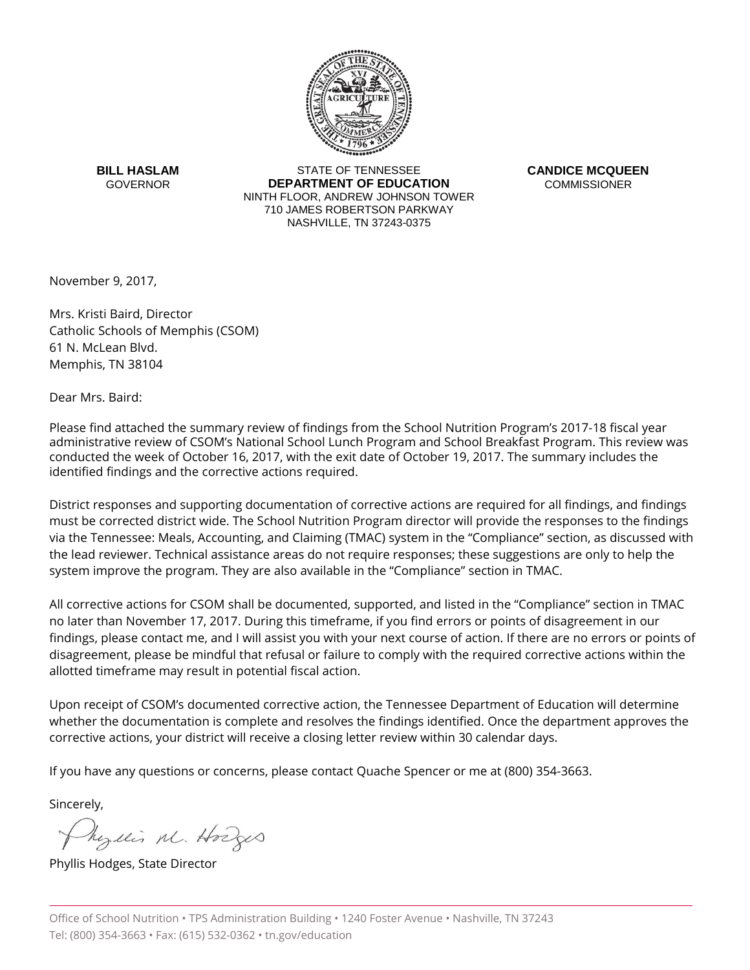

**BILL HASLAM GOVERNOR** 

STATE OF TENNESSEE **DEPARTMENT OF EDUCATION** NINTH FLOOR, ANDREW JOHNSON TOWER 710 JAMES ROBERTSON PARKWAY NASHVILLE, TN 37243-0375

**CANDICE MCQUEEN COMMISSIONER** 

November 9, 2017,

Mrs. Kristi Baird, Director Catholic Schools of Memphis (CSOM) 61 N. McLean Blvd. Memphis, TN 38104

Dear Mrs. Baird:

Please find attached the summary review of findings from the School Nutrition Program's 2017-18 fiscal year administrative review of CSOM's National School Lunch Program and School Breakfast Program. This review was conducted the week of October 16, 2017, with the exit date of October 19, 2017. The summary includes the identified findings and the corrective actions required.

District responses and supporting documentation of corrective actions are required for all findings, and findings must be corrected district wide. The School Nutrition Program director will provide the responses to the findings via the Tennessee: Meals, Accounting, and Claiming (TMAC) system in the "Compliance" section, as discussed with the lead reviewer. Technical assistance areas do not require responses; these suggestions are only to help the system improve the program. They are also available in the "Compliance" section in TMAC.

All corrective actions for CSOM shall be documented, supported, and listed in the "Compliance" section in TMAC no later than November 17, 2017. During this timeframe, if you find errors or points of disagreement in our findings, please contact me, and I will assist you with your next course of action. If there are no errors or points of disagreement, please be mindful that refusal or failure to comply with the required corrective actions within the allotted timeframe may result in potential fiscal action.

Upon receipt of CSOM's documented corrective action, the Tennessee Department of Education will determine whether the documentation is complete and resolves the findings identified. Once the department approves the corrective actions, your district will receive a closing letter review within 30 calendar days.

If you have any questions or concerns, please contact Quache Spencer or me at (800) 354-3663.

Sincerely,

Myllis M. Hodges

Phyllis Hodges, State Director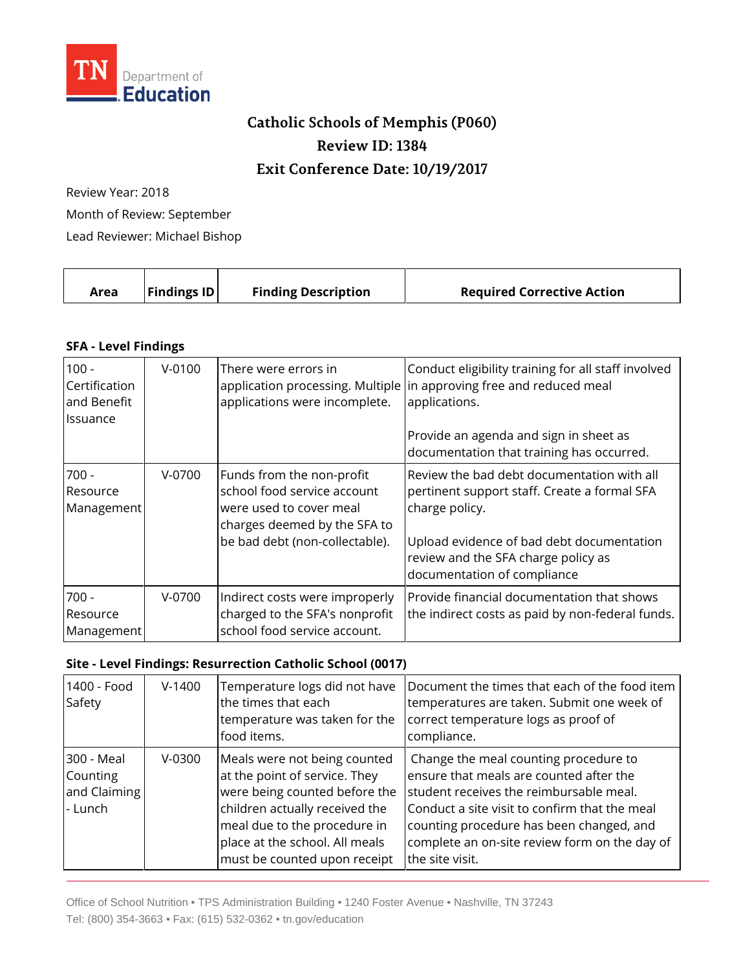

## **Catholic Schools of Memphis (P060) Review ID: 1384 Exit Conference Date: 10/19/2017**

Review Year: 2018 Month of Review: September Lead Reviewer: Michael Bishop

| <b>Findings ID</b><br><b>Finding Description</b><br><b>Required Corrective Action</b><br>Area |  |  |
|-----------------------------------------------------------------------------------------------|--|--|
|-----------------------------------------------------------------------------------------------|--|--|

## **SFA - Level Findings**

| $100 -$<br>Certification<br>and Benefit<br><b>Issuance</b> | $V - 0100$ | There were errors in<br>applications were incomplete.                                                                                                 | Conduct eligibility training for all staff involved<br>application processing. Multiple in approving free and reduced meal<br>applications.<br>Provide an agenda and sign in sheet as<br>documentation that training has occurred. |
|------------------------------------------------------------|------------|-------------------------------------------------------------------------------------------------------------------------------------------------------|------------------------------------------------------------------------------------------------------------------------------------------------------------------------------------------------------------------------------------|
| $700 -$<br>Resource<br>Management                          | $V-0700$   | Funds from the non-profit<br>school food service account<br>were used to cover meal<br>charges deemed by the SFA to<br>be bad debt (non-collectable). | Review the bad debt documentation with all<br>pertinent support staff. Create a formal SFA<br>charge policy.<br>Upload evidence of bad debt documentation<br>review and the SFA charge policy as<br>documentation of compliance    |
| $700 -$<br>Resource<br>Management                          | $V-0700$   | Indirect costs were improperly<br>charged to the SFA's nonprofit<br>school food service account.                                                      | Provide financial documentation that shows<br>the indirect costs as paid by non-federal funds.                                                                                                                                     |

## **Site - Level Findings: Resurrection Catholic School (0017)**

| 1400 - Food<br>Safety                             | $V-1400$ | Temperature logs did not have<br>the times that each<br>temperature was taken for the<br>food items.                                                                                                                               | Document the times that each of the food item<br>temperatures are taken. Submit one week of<br>correct temperature logs as proof of<br>compliance.                                                                                                                                           |
|---------------------------------------------------|----------|------------------------------------------------------------------------------------------------------------------------------------------------------------------------------------------------------------------------------------|----------------------------------------------------------------------------------------------------------------------------------------------------------------------------------------------------------------------------------------------------------------------------------------------|
| 300 - Meal<br>Counting<br>and Claiming<br>- Lunch | $V-0300$ | Meals were not being counted<br>at the point of service. They<br>were being counted before the<br>children actually received the<br>meal due to the procedure in<br>place at the school. All meals<br>must be counted upon receipt | Change the meal counting procedure to<br>ensure that meals are counted after the<br>student receives the reimbursable meal.<br>Conduct a site visit to confirm that the meal<br>counting procedure has been changed, and<br>complete an on-site review form on the day of<br>the site visit. |